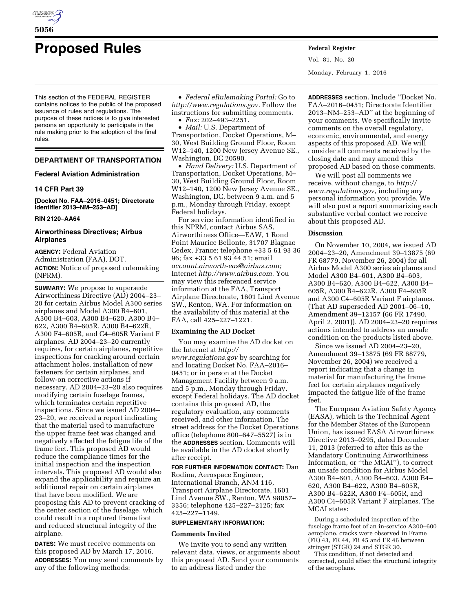

# **Proposed Rules Federal Register**

This section of the FEDERAL REGISTER contains notices to the public of the proposed issuance of rules and regulations. The purpose of these notices is to give interested persons an opportunity to participate in the rule making prior to the adoption of the final rules.

# **DEPARTMENT OF TRANSPORTATION**

# **Federal Aviation Administration**

## **14 CFR Part 39**

**[Docket No. FAA–2016–0451; Directorate Identifier 2013–NM–253–AD]** 

#### **RIN 2120–AA64**

# **Airworthiness Directives; Airbus Airplanes**

**AGENCY:** Federal Aviation Administration (FAA), DOT. **ACTION:** Notice of proposed rulemaking (NPRM).

**SUMMARY:** We propose to supersede Airworthiness Directive (AD) 2004–23– 20 for certain Airbus Model A300 series airplanes and Model A300 B4–601, A300 B4–603, A300 B4–620, A300 B4– 622, A300 B4–605R, A300 B4–622R, A300 F4–605R, and C4–605R Variant F airplanes. AD 2004–23–20 currently requires, for certain airplanes, repetitive inspections for cracking around certain attachment holes, installation of new fasteners for certain airplanes, and follow-on corrective actions if necessary. AD 2004–23–20 also requires modifying certain fuselage frames, which terminates certain repetitive inspections. Since we issued AD 2004– 23–20, we received a report indicating that the material used to manufacture the upper frame feet was changed and negatively affected the fatigue life of the frame feet. This proposed AD would reduce the compliance times for the initial inspection and the inspection intervals. This proposed AD would also expand the applicability and require an additional repair on certain airplanes that have been modified. We are proposing this AD to prevent cracking of the center section of the fuselage, which could result in a ruptured frame foot and reduced structural integrity of the airplane.

**DATES:** We must receive comments on this proposed AD by March 17, 2016. **ADDRESSES:** You may send comments by any of the following methods:

• *Federal eRulemaking Portal:* Go to *[http://www.regulations.gov.](http://www.regulations.gov)* Follow the instructions for submitting comments.

• *Fax:* 202–493–2251.

• *Mail:* U.S. Department of Transportation, Docket Operations, M– 30, West Building Ground Floor, Room W12–140, 1200 New Jersey Avenue SE., Washington, DC 20590.

• *Hand Delivery:* U.S. Department of Transportation, Docket Operations, M– 30, West Building Ground Floor, Room W12–140, 1200 New Jersey Avenue SE., Washington, DC, between 9 a.m. and 5 p.m., Monday through Friday, except Federal holidays.

For service information identified in this NPRM, contact Airbus SAS, Airworthiness Office—EAW, 1 Rond Point Maurice Bellonte, 31707 Blagnac Cedex, France; telephone +33 5 61 93 36 96; fax +33 5 61 93 44 51; email *[account.airworth-eas@airbus.com;](mailto:account.airworth-eas@airbus.com)*  Internet *[http://www.airbus.com.](http://www.airbus.com)* You may view this referenced service information at the FAA, Transport Airplane Directorate, 1601 Lind Avenue SW., Renton, WA. For information on the availability of this material at the FAA, call 425–227–1221.

## **Examining the AD Docket**

You may examine the AD docket on the Internet at *[http://](http://www.regulations.gov) [www.regulations.gov](http://www.regulations.gov)* by searching for and locating Docket No. FAA–2016– 0451; or in person at the Docket Management Facility between 9 a.m. and 5 p.m., Monday through Friday, except Federal holidays. The AD docket contains this proposed AD, the regulatory evaluation, any comments received, and other information. The street address for the Docket Operations office (telephone 800–647–5527) is in the **ADDRESSES** section. Comments will be available in the AD docket shortly after receipt.

**FOR FURTHER INFORMATION CONTACT:** Dan Rodina, Aerospace Engineer, International Branch, ANM 116, Transport Airplane Directorate, 1601 Lind Avenue SW., Renton, WA 98057– 3356; telephone 425–227–2125; fax 425–227–1149.

# **SUPPLEMENTARY INFORMATION:**

#### **Comments Invited**

We invite you to send any written relevant data, views, or arguments about this proposed AD. Send your comments to an address listed under the

Vol. 81, No. 20 Monday, February 1, 2016

**ADDRESSES** section. Include ''Docket No. FAA–2016–0451; Directorate Identifier 2013–NM–253–AD'' at the beginning of your comments. We specifically invite comments on the overall regulatory, economic, environmental, and energy aspects of this proposed AD. We will consider all comments received by the closing date and may amend this proposed AD based on those comments.

We will post all comments we receive, without change, to *[http://](http://www.regulations.gov) [www.regulations.gov,](http://www.regulations.gov)* including any personal information you provide. We will also post a report summarizing each substantive verbal contact we receive about this proposed AD.

#### **Discussion**

On November 10, 2004, we issued AD 2004–23–20, Amendment 39–13875 (69 FR 68779, November 26, 2004) for all Airbus Model A300 series airplanes and Model A300 B4–601, A300 B4–603, A300 B4–620, A300 B4–622, A300 B4– 605R, A300 B4–622R, A300 F4–605R and A300 C4–605R Variant F airplanes. (That AD superseded AD 2001–06–10, Amendment 39–12157 (66 FR 17490, April 2, 2001)). AD 2004–23–20 requires actions intended to address an unsafe condition on the products listed above.

Since we issued AD 2004–23–20, Amendment 39–13875 (69 FR 68779, November 26, 2004) we received a report indicating that a change in material for manufacturing the frame feet for certain airplanes negatively impacted the fatigue life of the frame feet.

The European Aviation Safety Agency (EASA), which is the Technical Agent for the Member States of the European Union, has issued EASA Airworthiness Directive 2013–0295, dated December 11, 2013 (referred to after this as the Mandatory Continuing Airworthiness Information, or ''the MCAI''), to correct an unsafe condition for Airbus Model A300 B4–601, A300 B4–603, A300 B4– 620, A300 B4–622, A300 B4–605R, A300 B4–622R, A300 F4–605R, and A300 C4–605R Variant F airplanes. The MCAI states:

During a scheduled inspection of the fuselage frame feet of an in-service A300–600 aeroplane, cracks were observed in Frame  $(FR)^4$ 43, FR 44, FR 45 and FR 46 between stringer (STGR) 24 and STGR 30.

This condition, if not detected and corrected, could affect the structural integrity of the aeroplane.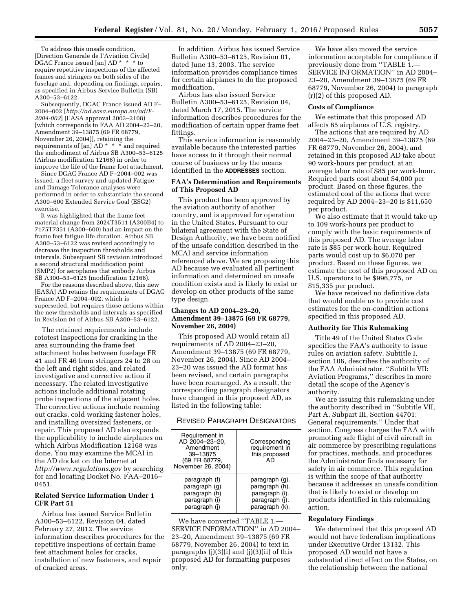To address this unsafe condition, [Direction Generale de l'Aviation Civile] DGAC France issued [an] AD \* \* \* to require repetitive inspections of the affected frames and stringers on both sides of the fuselage and, depending on findings, repairs, as specified in Airbus Service Bulletin (SB) A300–53–6122.

Subsequently, DGAC France issued AD F– 2004–002 [*[http://ad.easa.europa.eu/ad/F-](http://ad.easa.europa.eu/ad/F-2004-002)[2004-002](http://ad.easa.europa.eu/ad/F-2004-002)*] (EASA approval 2003–2108) [which corresponds to FAA AD 2004–23–20, Amendment 39–13875 (69 FR 68779, November 26, 2004)], retaining the requirements of [an] AD \* \* \* and required the embodiment of Airbus SB A300–53–6125 (Airbus modification 12168) in order to improve the life of the frame foot attachment.

Since DGAC France AD F–2004–002 was issued, a fleet survey and updated Fatigue and Damage Tolerance analyses were performed in order to substantiate the second A300–600 Extended Service Goal (ESG2) exercise.

It was highlighted that the frame feet material change from 2024T3511 (A300B4) to 7175T7351 (A300–600) had an impact on the frame feet fatigue life duration. Airbus SB A300–53–6122 was revised accordingly to decrease the inspection thresholds and intervals. Subsequent SB revision introduced a second structural modification point (SMP2) for aeroplanes that embody Airbus SB A300–53–6125 (modification 12168).

For the reasons described above, this new [EASA] AD retains the requirements of DGAC France AD F–2004–002, which is superseded, but requires those actions within the new thresholds and intervals as specified in Revision 04 of Airbus SB A300–53–6122.

The retained requirements include rototest inspections for cracking in the area surrounding the frame feet attachment holes between fuselage FR 41 and FR 46 from stringers 24 to 28 on the left and right sides, and related investigative and corrective action if necessary. The related investigative actions include additional rotating probe inspections of the adjacent holes. The corrective actions include reaming out cracks, cold working fastener holes, and installing oversized fasteners, or repair. This proposed AD also expands the applicability to include airplanes on which Airbus Modification 12168 was done. You may examine the MCAI in the AD docket on the Internet at *<http://www.regulations.gov>* by searching for and locating Docket No. FAA–2016– 0451.

# **Related Service Information Under 1 CFR Part 51**

Airbus has issued Service Bulletin A300–53–6122, Revision 04, dated February 27, 2012. The service information describes procedures for the repetitive inspections of certain frame feet attachment holes for cracks, installation of new fasteners, and repair of cracked areas.

In addition, Airbus has issued Service Bulletin A300–53–6125, Revision 01, dated June 13, 2003. The service information provides compliance times for certain airplanes to do the proposed modification.

Airbus has also issued Service Bulletin A300–53–6125, Revision 04, dated March 17, 2015. The service information describes procedures for the modification of certain upper frame feet fittings.

This service information is reasonably available because the interested parties have access to it through their normal course of business or by the means identified in the **ADDRESSES** section.

# **FAA's Determination and Requirements of This Proposed AD**

This product has been approved by the aviation authority of another country, and is approved for operation in the United States. Pursuant to our bilateral agreement with the State of Design Authority, we have been notified of the unsafe condition described in the MCAI and service information referenced above. We are proposing this AD because we evaluated all pertinent information and determined an unsafe condition exists and is likely to exist or develop on other products of the same type design.

# **Changes to AD 2004–23–20, Amendment 39–13875 (69 FR 68779, November 26, 2004)**

This proposed AD would retain all requirements of AD 2004–23–20, Amendment 39–13875 (69 FR 68779, November 26, 2004). Since AD 2004– 23–20 was issued the AD format has been revised, and certain paragraphs have been rearranged. As a result, the corresponding paragraph designators have changed in this proposed AD, as listed in the following table:

# REVISED PARAGRAPH DESIGNATORS

| Requirement in<br>AD 2004-23-20,<br>Amendment<br>39-13875<br>(69 FR 68779,<br>November 26, 2004) | Corresponding<br>requirement in<br>this proposed<br>ΑŃ                                 |
|--------------------------------------------------------------------------------------------------|----------------------------------------------------------------------------------------|
| paragraph (f)<br>paragraph (g)<br>paragraph (h)<br>paragraph (i)<br>paragraph (i)                | paragraph (g).<br>paragraph (h).<br>paragraph (i).<br>paragraph (j).<br>paragraph (k). |

We have converted ''TABLE 1.— SERVICE INFORMATION'' in AD 2004– 23–20, Amendment 39–13875 (69 FR 68779, November 26, 2004) to text in paragraphs (j)(3)(i) and (j)(3)(ii) of this proposed AD for formatting purposes only.

We have also moved the service information acceptable for compliance if previously done from ''TABLE 1.— SERVICE INFORMATION'' in AD 2004– 23–20, Amendment 39–13875 (69 FR 68779, November 26, 2004) to paragraph (r)(2) of this proposed AD.

#### **Costs of Compliance**

We estimate that this proposed AD affects 65 airplanes of U.S. registry.

The actions that are required by AD 2004–23–20, Amendment 39–13875 (69 FR 68779, November 26, 2004), and retained in this proposed AD take about 90 work-hours per product, at an average labor rate of \$85 per work-hour. Required parts cost about \$4,000 per product. Based on these figures, the estimated cost of the actions that were required by AD 2004–23–20 is \$11,650 per product.

We also estimate that it would take up to 109 work-hours per product to comply with the basic requirements of this proposed AD. The average labor rate is \$85 per work-hour. Required parts would cost up to \$6,070 per product. Based on these figures, we estimate the cost of this proposed AD on U.S. operators to be \$996,775, or \$15,335 per product.

We have received no definitive data that would enable us to provide cost estimates for the on-condition actions specified in this proposed AD.

# **Authority for This Rulemaking**

Title 49 of the United States Code specifies the FAA's authority to issue rules on aviation safety. Subtitle I, section 106, describes the authority of the FAA Administrator. ''Subtitle VII: Aviation Programs,'' describes in more detail the scope of the Agency's authority.

We are issuing this rulemaking under the authority described in ''Subtitle VII, Part A, Subpart III, Section 44701: General requirements.'' Under that section, Congress charges the FAA with promoting safe flight of civil aircraft in air commerce by prescribing regulations for practices, methods, and procedures the Administrator finds necessary for safety in air commerce. This regulation is within the scope of that authority because it addresses an unsafe condition that is likely to exist or develop on products identified in this rulemaking action.

# **Regulatory Findings**

We determined that this proposed AD would not have federalism implications under Executive Order 13132. This proposed AD would not have a substantial direct effect on the States, on the relationship between the national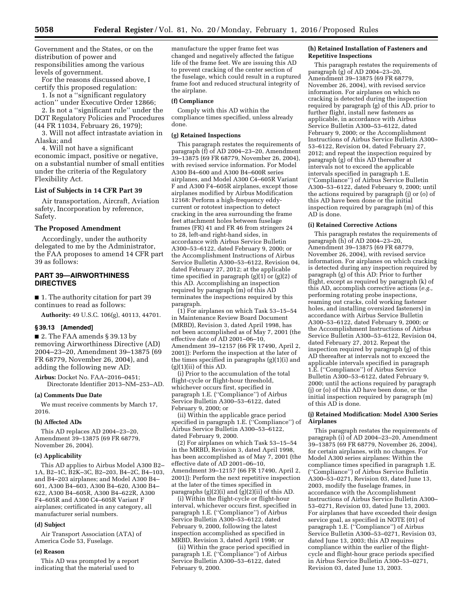Government and the States, or on the distribution of power and responsibilities among the various levels of government.

For the reasons discussed above, I certify this proposed regulation:

1. Is not a ''significant regulatory action'' under Executive Order 12866;

2. Is not a ''significant rule'' under the DOT Regulatory Policies and Procedures (44 FR 11034, February 26, 1979);

3. Will not affect intrastate aviation in Alaska; and

4. Will not have a significant economic impact, positive or negative, on a substantial number of small entities under the criteria of the Regulatory Flexibility Act.

# **List of Subjects in 14 CFR Part 39**

Air transportation, Aircraft, Aviation safety, Incorporation by reference, Safety.

## **The Proposed Amendment**

Accordingly, under the authority delegated to me by the Administrator, the FAA proposes to amend 14 CFR part 39 as follows:

# **PART 39—AIRWORTHINESS DIRECTIVES**

■ 1. The authority citation for part 39 continues to read as follows:

**Authority:** 49 U.S.C. 106(g), 40113, 44701.

## **§ 39.13 [Amended]**

■ 2. The FAA amends § 39.13 by removing Airworthiness Directive (AD) 2004–23–20, Amendment 39–13875 (69 FR 68779, November 26, 2004), and adding the following new AD:

**Airbus:** Docket No. FAA–2016–0451; Directorate Identifier 2013–NM–253–AD.

## **(a) Comments Due Date**

We must receive comments by March 17, 2016.

#### **(b) Affected ADs**

This AD replaces AD 2004–23–20, Amendment 39–13875 (69 FR 68779, November 26, 2004).

#### **(c) Applicability**

This AD applies to Airbus Model A300 B2– 1A, B2–1C, B2K–3C, B2–203, B4–2C, B4–103, and B4–203 airplanes; and Model A300 B4– 601, A300 B4–603, A300 B4–620, A300 B4– 622, A300 B4–605R, A300 B4–622R, A300 F4–605R and A300 C4–605R Variant F airplanes; certificated in any category, all manufacturer serial numbers.

#### **(d) Subject**

Air Transport Association (ATA) of America Code 53, Fuselage.

#### **(e) Reason**

This AD was prompted by a report indicating that the material used to

manufacture the upper frame feet was changed and negatively affected the fatigue life of the frame feet. We are issuing this AD to prevent cracking of the center section of the fuselage, which could result in a ruptured frame foot and reduced structural integrity of the airplane.

# **(f) Compliance**

Comply with this AD within the compliance times specified, unless already done.

# **(g) Retained Inspections**

This paragraph restates the requirements of paragraph (f) of AD 2004–23–20, Amendment 39–13875 (69 FR 68779, November 26, 2004), with revised service information. For Model A300 B4–600 and A300 B4–600R series airplanes, and Model A300 C4–605R Variant F and A300 F4–605R airplanes, except those airplanes modified by Airbus Modification 12168: Perform a high-frequency eddycurrent or rototest inspection to detect cracking in the area surrounding the frame feet attachment holes between fuselage frames (FR) 41 and FR 46 from stringers 24 to 28, left-and right-hand sides, in accordance with Airbus Service Bulletin A300–53–6122, dated February 9, 2000; or the Accomplishment Instructions of Airbus Service Bulletin A300–53–6122, Revision 04, dated February 27, 2012; at the applicable time specified in paragraph  $(g)(1)$  or  $(g)(2)$  of this AD. Accomplishing an inspection required by paragraph (m) of this AD terminates the inspections required by this paragraph.

(1) For airplanes on which Task 53–15–54 in Maintenance Review Board Document (MRBD), Revision 3, dated April 1998, has not been accomplished as of May 7, 2001 (the effective date of AD 2001–06–10, Amendment 39–12157 (66 FR 17490, April 2, 2001)): Perform the inspection at the later of the times specified in paragraphs (g)(1)(i) and  $(g)(1)(ii)$  of this AD.

(i) Prior to the accumulation of the total flight-cycle or flight-hour threshold, whichever occurs first, specified in paragraph 1.E. (''Compliance'') of Airbus Service Bulletin A300–53–6122, dated February 9, 2000; or

(ii) Within the applicable grace period specified in paragraph 1.E. (''Compliance'') of Airbus Service Bulletin A300–53–6122, dated February 9, 2000.

(2) For airplanes on which Task 53–15–54 in the MRBD, Revision 3, dated April 1998, has been accomplished as of May 7, 2001 (the effective date of AD 2001–06–10, Amendment 39–12157 (66 FR 17490, April 2, 2001)): Perform the next repetitive inspection at the later of the times specified in paragraphs  $(g)(2)(i)$  and  $(g)(2)(ii)$  of this AD.

(i) Within the flight-cycle or flight-hour interval, whichever occurs first, specified in paragraph 1.E. (''Compliance'') of Airbus Service Bulletin A300–53–6122, dated February 9, 2000, following the latest inspection accomplished as specified in MRBD, Revision 3, dated April 1998; or

(ii) Within the grace period specified in paragraph 1.E. (''Compliance'') of Airbus Service Bulletin A300–53–6122, dated February 9, 2000.

#### **(h) Retained Installation of Fasteners and Repetitive Inspections**

This paragraph restates the requirements of paragraph (g) of AD 2004–23–20, Amendment 39–13875 (69 FR 68779, November 26, 2004), with revised service information. For airplanes on which no cracking is detected during the inspection required by paragraph (g) of this AD, prior to further flight, install new fasteners as applicable, in accordance with Airbus Service Bulletin A300–53–6122, dated February 9, 2000; or the Accomplishment Instructions of Airbus Service Bulletin A300– 53–6122, Revision 04, dated February 27, 2012; and repeat the inspection required by paragraph (g) of this AD thereafter at intervals not to exceed the applicable intervals specified in paragraph 1.E. (''Compliance'') of Airbus Service Bulletin A300–53–6122, dated February 9, 2000; until the actions required by paragraph (j) or (o) of this AD have been done or the initial inspection required by paragraph (m) of this AD is done.

#### **(i) Retained Corrective Actions**

This paragraph restates the requirements of paragraph (h) of AD 2004-23-20, Amendment 39–13875 (69 FR 68779, November 26, 2004), with revised service information. For airplanes on which cracking is detected during any inspection required by paragraph (g) of this AD: Prior to further flight, except as required by paragraph (k) of this AD, accomplish corrective actions (*e.g.,*  performing rotating probe inspections, reaming out cracks, cold working fastener holes, and installing oversized fasteners) in accordance with Airbus Service Bulletin A300–53–6122, dated February 9, 2000; or the Accomplishment Instructions of Airbus Service Bulletin A300–53–6122, Revision 04, dated February 27, 2012. Repeat the inspection required by paragraph (g) of this AD thereafter at intervals not to exceed the applicable intervals specified in paragraph 1.E. (''Compliance'') of Airbus Service Bulletin A300–53–6122, dated February 9, 2000; until the actions required by paragraph (j) or (o) of this AD have been done, or the initial inspection required by paragraph (m) of this AD is done.

# **(j) Retained Modification: Model A300 Series Airplanes**

This paragraph restates the requirements of paragraph (i) of AD 2004–23–20, Amendment 39–13875 (69 FR 68779, November 26, 2004), for certain airplanes, with no changes. For Model A300 series airplanes: Within the compliance times specified in paragraph 1.E. (''Compliance'') of Airbus Service Bulletin A300–53–0271, Revision 03, dated June 13, 2003, modify the fuselage frames, in accordance with the Accomplishment Instructions of Airbus Service Bulletin A300– 53–0271, Revision 03, dated June 13, 2003. For airplanes that have exceeded their design service goal, as specified in NOTE (01) of paragraph 1.E. (''Compliance'') of Airbus Service Bulletin A300–53–0271, Revision 03, dated June 13, 2003; this AD requires compliance within the earlier of the flightcycle and flight-hour grace periods specified in Airbus Service Bulletin A300–53–0271, Revision 03, dated June 13, 2003.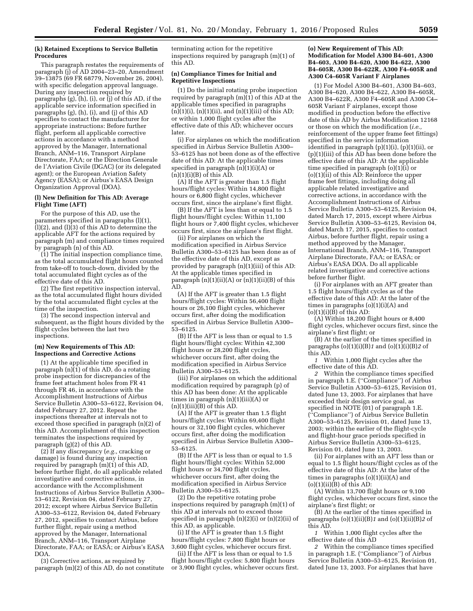# **(k) Retained Exceptions to Service Bulletin Procedures**

This paragraph restates the requirements of paragraph (j) of AD 2004–23–20, Amendment 39–13875 (69 FR 68779, November 26, 2004), with specific delegation approval language. During any inspection required by paragraphs (g), (h), (i), or (j) of this AD, if the applicable service information specified in paragraphs (g), (h), (i), and (j) of this AD specifies to contact the manufacturer for appropriate instructions: Before further flight, perform all applicable corrective actions in accordance with a method approved by the Manager, International Branch, ANM–116, Transport Airplane Directorate, FAA; or the Direction Generale de l'Aviation Civile (DGAC) (or its delegated agent); or the European Aviation Safety Agency (EASA); or Airbus's EASA Design Organization Approval (DOA).

## **(l) New Definition for This AD: Average Flight Time (AFT)**

For the purpose of this AD, use the parameters specified in paragraphs (l)(1),  $(1)(2)$ , and  $(1)(3)$  of this AD to determine the applicable AFT for the actions required by paragraph (m) and compliance times required by paragraph (n) of this AD.

(1) The initial inspection compliance time, as the total accumulated flight hours counted from take-off to touch-down, divided by the total accumulated flight cycles as of the effective date of this AD.

(2) The first repetitive inspection interval, as the total accumulated flight hours divided by the total accumulated flight cycles at the time of the inspection.

(3) The second inspection interval and subsequent, as the flight hours divided by the flight cycles between the last two inspections.

# **(m) New Requirements of This AD: Inspections and Corrective Actions**

(1) At the applicable time specified in paragraph  $(n)(1)$  of this AD, do a rotating probe inspection for discrepancies of the frame feet attachment holes from FR 41 through FR 46, in accordance with the Accomplishment Instructions of Airbus Service Bulletin A300–53–6122, Revision 04, dated February 27, 2012. Repeat the inspections thereafter at intervals not to exceed those specified in paragraph (n)(2) of this AD. Accomplishment of this inspection terminates the inspections required by paragraph (g)(2) of this AD.

(2) If any discrepancy (*e.g.,* cracking or damage) is found during any inspection required by paragraph (m)(1) of this AD, before further flight, do all applicable related investigative and corrective actions, in accordance with the Accomplishment Instructions of Airbus Service Bulletin A300– 53–6122, Revision 04, dated February 27, 2012; except where Airbus Service Bulletin A300–53–6122, Revision 04, dated February 27, 2012, specifies to contact Airbus, before further flight, repair using a method approved by the Manager, International Branch, ANM–116, Transport Airplane Directorate, FAA; or EASA; or Airbus's EASA DOA.

(3) Corrective actions, as required by paragraph (m)(2) of this AD, do not constitute terminating action for the repetitive inspections required by paragraph (m)(1) of this AD.

# **(n) Compliance Times for Initial and Repetitive Inspections**

(1) Do the initial rotating probe inspection required by paragraph  $(m)(1)$  of this AD at the applicable times specified in paragraphs  $(n)(1)(i)$ ,  $(n)(1)(ii)$ , and  $(n)(1)(iii)$  of this AD; or within 1,000 flight cycles after the effective date of this AD; whichever occurs later.

(i) For airplanes on which the modification specified in Airbus Service Bulletin A300– 53–6125 has not been done as of the effective date of this AD: At the applicable times specified in paragraph (n)(1)(i)(A) or  $(n)(1)(i)(B)$  of this AD.

(A) If the AFT is greater than 1.5 flight hours/flight cycles: Within 14,800 flight hours or 6,800 flight cycles, whichever occurs first, since the airplane's first flight.

(B) If the AFT is less than or equal to 1.5 flight hours/flight cycles: Within 11,100 flight hours or 7,400 flight cycles, whichever occurs first, since the airplane's first flight.

(ii) For airplanes on which the modification specified in Airbus Service Bulletin A300–53–6125 has been done as of the effective date of this AD, except as provided by paragraph (n)(1)(iii) of this AD: At the applicable times specified in paragraph  $(n)(1)(ii)(A)$  or  $(n)(1)(ii)(B)$  of this AD.

(A) If the AFT is greater than 1.5 flight hours/flight cycles: Within 56,400 flight hours or 26,100 flight cycles, whichever occurs first, after doing the modification specified in Airbus Service Bulletin A300– 53–6125.

(B) If the AFT is less than or equal to 1.5 flight hours/flight cycles: Within 42,300 flight hours or 28,200 flight cycles, whichever occurs first, after doing the modification specified in Airbus Service Bulletin A300–53–6125.

(iii) For airplanes on which the additional modification required by paragraph (p) of this AD has been done: At the applicable times in paragraph  $(n)(1)(iii)(A)$  or  $(n)(1)(iii)(B)$  of this AD.

(A) If the AFT is greater than 1.5 flight hours/flight cycles: Within 69,400 flight hours or 32,100 flight cycles, whichever occurs first, after doing the modification specified in Airbus Service Bulletin A300– 53–6125.

(B) If the AFT is less than or equal to 1.5 flight hours/flight cycles: Within 52,000 flight hours or 34,700 flight cycles, whichever occurs first, after doing the modification specified in Airbus Service Bulletin A300–53–6125.

(2) Do the repetitive rotating probe inspections required by paragraph (m)(1) of this AD at intervals not to exceed those specified in paragraph (n)(2)(i) or (n)(2)(ii) of this AD, as applicable.

(i) If the AFT is greater than 1.5 flight hours/flight cycles: 7,800 flight hours or 3,600 flight cycles, whichever occurs first.

(ii) If the AFT is less than or equal to 1.5 flight hours/flight cycles: 5,800 flight hours or 3,900 flight cycles, whichever occurs first.

# **(o) New Requirement of This AD: Modification for Model A300 B4–601, A300 B4–603, A300 B4–620, A300 B4–622, A300 B4–605R, A300 B4–622R, A300 F4–605R and A300 C4–605R Variant F Airplanes**

(1) For Model A300 B4–601, A300 B4–603, A300 B4–620, A300 B4–622, A300 B4–605R, A300 B4–622R, A300 F4–605R and A300 C4– 605R Variant F airplanes, except those modified in production before the effective date of this AD by Airbus Modification 12168 or those on which the modification (*i.e.,*  reinforcement of the upper frame feet fittings) specified in the service information identified in paragraph (p)(1)(i), (p)(1)(ii), or (p)(1)(iii) of this AD has been done before the effective date of this AD: At the applicable time specified in paragraph (o)(1)(i) or (o)(1)(ii) of this AD: Reinforce the upper frame feet fittings, including doing all applicable related investigative and corrective actions, in accordance with the Accomplishment Instructions of Airbus Service Bulletin A300–53–6125, Revision 04, dated March 17, 2015, except where Airbus Service Bulletin A300–53–6125, Revision 04, dated March 17, 2015, specifies to contact Airbus, before further flight, repair using a method approved by the Manager, International Branch, ANM–116, Transport Airplane Directorate, FAA; or EASA; or Airbus's EASA DOA. Do all applicable related investigative and corrective actions before further flight.

(i) For airplanes with an AFT greater than 1.5 flight hours/flight cycles as of the effective date of this AD: At the later of the times in paragraphs (o)(1)(i)(A) and  $(o)(1)(i)(B)$  of this AD:

(A) Within 18,200 flight hours or 8,400 flight cycles, whichever occurs first, since the airplane's first flight; or

(B) At the earlier of the times specified in paragraphs (o)(1)(i)(B)*1* and (o)(1)(i)(B)*2* of this AD.

*1* Within 1,000 flight cycles after the effective date of this AD.

*2* Within the compliance times specified in paragraph 1.E. ("Compliance") of Airbus Service Bulletin A300–53–6125, Revision 01, dated June 13, 2003. For airplanes that have exceeded their design service goal, as specified in NOTE (01) of paragraph 1.E. (''Compliance'') of Airbus Service Bulletin A300–53–6125, Revision 01, dated June 13, 2003; within the earlier of the flight-cycle and flight-hour grace periods specified in Airbus Service Bulletin A300–53–6125, Revision 01, dated June 13, 2003.

(ii) For airplanes with an AFT less than or equal to 1.5 flight hours/flight cycles as of the effective date of this AD: At the later of the times in paragraphs (o)(1)(ii)(A) and  $(o)(1)(ii)(B)$  of this AD:

(A) Within 13,700 flight hours or 9,100 flight cycles, whichever occurs first, since the airplane's first flight; or

(B) At the earlier of the times specified in paragraphs (o)(1)(ii)(B)*1* and (o)(1)(ii)(B)*2* of this AD.

*1* Within 1,000 flight cycles after the effective date of this AD

*2* Within the compliance times specified in paragraph 1.E. (''Compliance'') of Airbus Service Bulletin A300–53–6125, Revision 01, dated June 13, 2003. For airplanes that have